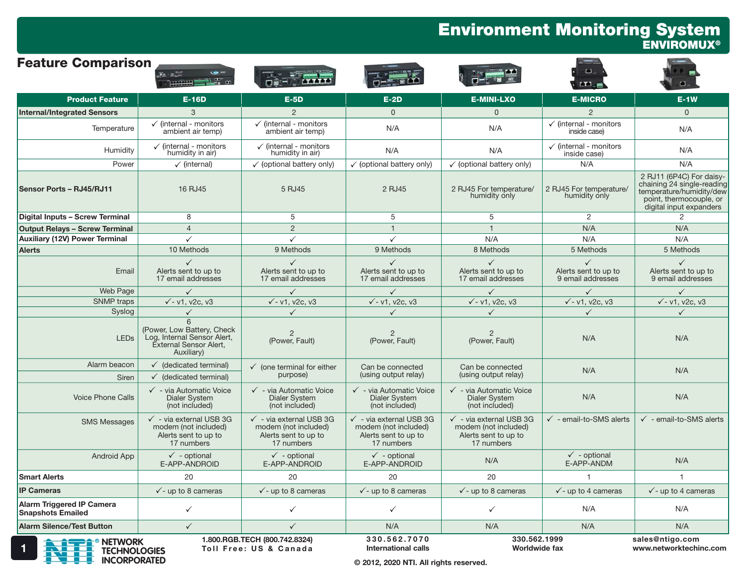#### Environment Monitoring System ENVIROMUX®

| <b>Feature Comparison</b>                                    | Fa all<br><b>THURSE!</b>                                                                                      |                                                                                                  |                                                                                                  |                                                                                                  | ◘.<br><b>ED</b>                                   |                                                                                                                                          |
|--------------------------------------------------------------|---------------------------------------------------------------------------------------------------------------|--------------------------------------------------------------------------------------------------|--------------------------------------------------------------------------------------------------|--------------------------------------------------------------------------------------------------|---------------------------------------------------|------------------------------------------------------------------------------------------------------------------------------------------|
| <b>Product Feature</b>                                       | <b>E-16D</b>                                                                                                  | $E-5D$                                                                                           | $E-2D$                                                                                           | <b>E-MINI-LXO</b>                                                                                | <b>E-MICRO</b>                                    | $E-1W$                                                                                                                                   |
| <b>Internal/Integrated Sensors</b>                           | 3                                                                                                             | $\overline{2}$                                                                                   | $\Omega$                                                                                         | $\Omega$                                                                                         | 2                                                 | $\Omega$                                                                                                                                 |
| Temperature                                                  | $\checkmark$ (internal - monitors<br>ambient air temp)                                                        | $\checkmark$ (internal - monitors<br>ambient air temp)                                           | N/A                                                                                              | N/A                                                                                              | $\checkmark$ (internal - monitors<br>inside case) | N/A                                                                                                                                      |
| Humidity                                                     | $\checkmark$ (internal - monitors<br>humidity in air)                                                         | $\checkmark$ (internal - monitors<br>humidity in air)                                            | N/A                                                                                              | N/A                                                                                              | $\checkmark$ (internal - monitors<br>inside case) | N/A                                                                                                                                      |
| Power                                                        | $\checkmark$ (internal)                                                                                       | $\checkmark$ (optional battery only)                                                             | $\checkmark$ (optional battery only)                                                             | $\checkmark$ (optional battery only)                                                             | N/A                                               | N/A                                                                                                                                      |
| Sensor Ports - RJ45/RJ11                                     | 16 RJ45                                                                                                       | 5 RJ45                                                                                           | 2 RJ45                                                                                           | 2 RJ45 For temperature/<br>humidity only                                                         | 2 RJ45 For temperature/<br>humidity only          | 2 RJ11 (6P4C) For daisy-<br>chaining 24 single-reading<br>temperature/humidity/dew<br>point, thermocouple, or<br>digital input expanders |
| Digital Inputs - Screw Terminal                              | 8                                                                                                             | 5                                                                                                | 5                                                                                                | 5                                                                                                | $\overline{2}$                                    | $\mathcal{P}$                                                                                                                            |
| <b>Output Relays - Screw Terminal</b>                        | $\overline{4}$                                                                                                | $\overline{2}$                                                                                   | $\mathbf{1}$                                                                                     | $\mathbf{1}$                                                                                     | N/A                                               | N/A                                                                                                                                      |
| <b>Auxiliary (12V) Power Terminal</b>                        | $\checkmark$                                                                                                  | $\checkmark$                                                                                     | $\checkmark$                                                                                     | N/A                                                                                              | N/A                                               | N/A                                                                                                                                      |
| <b>Alerts</b>                                                | 10 Methods                                                                                                    | 9 Methods                                                                                        | 9 Methods                                                                                        | 8 Methods                                                                                        | 5 Methods                                         | 5 Methods                                                                                                                                |
| Email                                                        | $\checkmark$<br>Alerts sent to up to<br>17 email addresses                                                    | Alerts sent to up to<br>17 email addresses                                                       | $\checkmark$<br>Alerts sent to up to<br>17 email addresses                                       | Alerts sent to up to<br>17 email addresses                                                       | Alerts sent to up to<br>9 email addresses         | Alerts sent to up to<br>9 email addresses                                                                                                |
| Web Page                                                     | $\checkmark$                                                                                                  | $\checkmark$                                                                                     | $\checkmark$                                                                                     | $\checkmark$                                                                                     | $\checkmark$                                      | $\checkmark$                                                                                                                             |
| SNMP traps                                                   | $\sqrt{-v1}$ , v <sub>2c</sub> , v <sub>3</sub>                                                               | $\sqrt{-v1}$ . $v2c$ . $v3$                                                                      | $\sqrt{-v1}$ , v <sub>2c</sub> , v <sub>3</sub>                                                  | $\sqrt{-v1}$ , v2c, v3                                                                           | $\sqrt{-v1}$ , v2c, v3                            | $\sqrt{-v1}$ , v2c, v3                                                                                                                   |
| Syslog                                                       | $\checkmark$                                                                                                  | $\checkmark$                                                                                     | $\checkmark$                                                                                     | $\checkmark$                                                                                     | $\checkmark$                                      | $\checkmark$                                                                                                                             |
| <b>LED<sub>s</sub></b>                                       | 6<br>(Power, Low Battery, Check<br>Log, Internal Sensor Alert,<br><b>External Sensor Alert,</b><br>Auxiliary) | $\overline{2}$<br>(Power, Fault)                                                                 | 2<br>(Power, Fault)                                                                              | $\overline{2}$<br>(Power, Fault)                                                                 | N/A                                               | N/A                                                                                                                                      |
| Alarm beacon                                                 | $\checkmark$ (dedicated terminal)                                                                             | $\checkmark$ (one terminal for either                                                            | Can be connected                                                                                 | Can be connected                                                                                 |                                                   |                                                                                                                                          |
| <b>Siren</b>                                                 | $\checkmark$ (dedicated terminal)                                                                             | purpose)                                                                                         | (using output relay)                                                                             | (using output relay)                                                                             | N/A                                               | N/A                                                                                                                                      |
| <b>Voice Phone Calls</b>                                     | √ - via Automatic Voice<br>Dialer System<br>(not included)                                                    | √ - via Automatic Voice<br><b>Dialer System</b><br>(not included)                                | √ - via Automatic Voice<br>Dialer System<br>(not included)                                       | $\checkmark$ - via Automatic Voice<br><b>Dialer System</b><br>(not included)                     | N/A                                               | N/A                                                                                                                                      |
| <b>SMS Messages</b>                                          | $\checkmark$ - via external USB 3G<br>modem (not included)<br>Alerts sent to up to<br>17 numbers              | $\checkmark$ - via external USB 3G<br>modem (not included)<br>Alerts sent to up to<br>17 numbers | $\checkmark$ - via external USB 3G<br>modem (not included)<br>Alerts sent to up to<br>17 numbers | $\checkmark$ - via external USB 3G<br>modem (not included)<br>Alerts sent to up to<br>17 numbers | $\checkmark$ - email-to-SMS alerts                | $\checkmark$ - email-to-SMS alerts                                                                                                       |
| <b>Android App</b>                                           | $\checkmark$ - optional<br>E-APP-ANDROID                                                                      | $\checkmark$ - optional<br>E-APP-ANDROID                                                         | $\checkmark$ - optional<br>E-APP-ANDROID                                                         | N/A                                                                                              | $\checkmark$ - optional<br>E-APP-ANDM             | N/A                                                                                                                                      |
| <b>Smart Alerts</b>                                          | 20                                                                                                            | 20                                                                                               | 20                                                                                               | 20                                                                                               |                                                   | $\overline{1}$                                                                                                                           |
| <b>IP Cameras</b>                                            | $\checkmark$ - up to 8 cameras                                                                                | $\checkmark$ - up to 8 cameras                                                                   | $\checkmark$ - up to 8 cameras                                                                   | $\checkmark$ - up to 8 cameras                                                                   | $\checkmark$ - up to 4 cameras                    | $\checkmark$ - up to 4 cameras                                                                                                           |
| <b>Alarm Triggered IP Camera</b><br><b>Snapshots Emailed</b> | ✓                                                                                                             | ✓                                                                                                | $\checkmark$                                                                                     | $\checkmark$                                                                                     | N/A                                               | N/A                                                                                                                                      |
| <b>Alarm Silence/Test Button</b>                             | $\checkmark$                                                                                                  | $\checkmark$                                                                                     | N/A                                                                                              | N/A                                                                                              | N/A                                               | N/A                                                                                                                                      |
| <b>A ACCEPT ON FITWORK</b>                                   |                                                                                                               | 1.800.RGB.TECH (800.742.8324)                                                                    | 330.562.7070                                                                                     | 330.562.1999                                                                                     |                                                   | sales@ntigo.com                                                                                                                          |



TOLL TOLL TOLL Free: US & Canada International calls Morldwide fax www.networktechinc.com

International calls

Worldwide fax

© 2012, 2020 NTI. All rights reserved.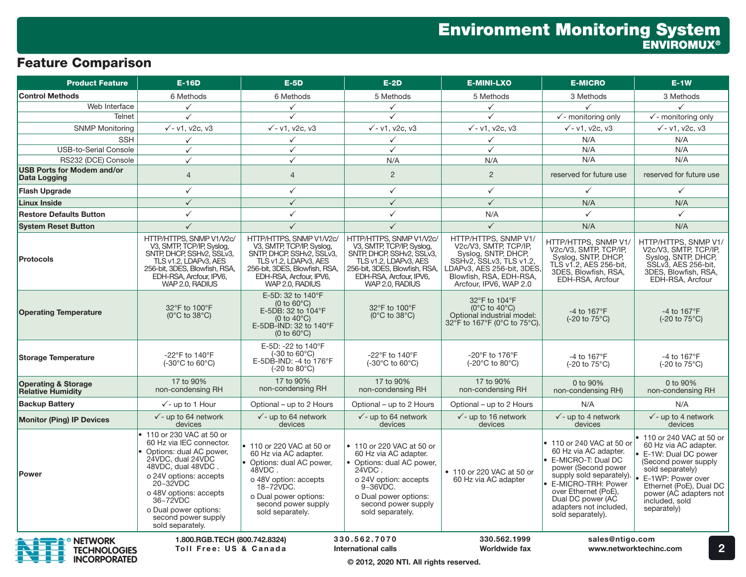# Feature Comparison

| <b>Product Feature</b>                                       | $E-16D$                                                                                                                                                                                                                                                                         | $E-5D$                                                                                                                                                                                               | $E-2D$                                                                                                                                                                                                      | <b>E-MINI-LXO</b>                                                                                                                                                                | <b>E-MICRO</b>                                                                                                                                                                                                                              | $E-1W$                                                                                                                                                                                                                         |
|--------------------------------------------------------------|---------------------------------------------------------------------------------------------------------------------------------------------------------------------------------------------------------------------------------------------------------------------------------|------------------------------------------------------------------------------------------------------------------------------------------------------------------------------------------------------|-------------------------------------------------------------------------------------------------------------------------------------------------------------------------------------------------------------|----------------------------------------------------------------------------------------------------------------------------------------------------------------------------------|---------------------------------------------------------------------------------------------------------------------------------------------------------------------------------------------------------------------------------------------|--------------------------------------------------------------------------------------------------------------------------------------------------------------------------------------------------------------------------------|
| <b>Control Methods</b>                                       | 6 Methods                                                                                                                                                                                                                                                                       | 6 Methods                                                                                                                                                                                            | 5 Methods                                                                                                                                                                                                   | 5 Methods                                                                                                                                                                        | 3 Methods                                                                                                                                                                                                                                   | 3 Methods                                                                                                                                                                                                                      |
| Web Interface                                                | $\checkmark$                                                                                                                                                                                                                                                                    | $\checkmark$                                                                                                                                                                                         | $\checkmark$                                                                                                                                                                                                | $\checkmark$                                                                                                                                                                     | $\checkmark$                                                                                                                                                                                                                                | $\checkmark$                                                                                                                                                                                                                   |
| Telnet                                                       | $\checkmark$                                                                                                                                                                                                                                                                    | $\checkmark$                                                                                                                                                                                         | ✓                                                                                                                                                                                                           | $\checkmark$                                                                                                                                                                     | $\sqrt{\ }$ - monitoring only                                                                                                                                                                                                               | $\checkmark$ - monitoring only                                                                                                                                                                                                 |
| <b>SNMP Monitoring</b>                                       | $\sqrt{-v1}$ , v2c, v3                                                                                                                                                                                                                                                          | $\sqrt{-v1}$ , v2c, v3                                                                                                                                                                               | $\sqrt{-v1}$ , v2c, v3                                                                                                                                                                                      | $\sqrt{-} v1, v2c, v3$                                                                                                                                                           | $\sqrt{-v1}$ , v2c, v3                                                                                                                                                                                                                      | $\sqrt{-v1}$ , v2c, v3                                                                                                                                                                                                         |
| <b>SSH</b>                                                   | $\checkmark$                                                                                                                                                                                                                                                                    | $\checkmark$                                                                                                                                                                                         | $\checkmark$                                                                                                                                                                                                | $\checkmark$                                                                                                                                                                     | N/A                                                                                                                                                                                                                                         | N/A                                                                                                                                                                                                                            |
| <b>USB-to-Serial Console</b>                                 | $\checkmark$                                                                                                                                                                                                                                                                    | $\checkmark$                                                                                                                                                                                         | $\checkmark$                                                                                                                                                                                                | $\checkmark$                                                                                                                                                                     | N/A                                                                                                                                                                                                                                         | N/A                                                                                                                                                                                                                            |
| RS232 (DCE) Console                                          | $\checkmark$                                                                                                                                                                                                                                                                    | $\checkmark$                                                                                                                                                                                         | N/A                                                                                                                                                                                                         | N/A                                                                                                                                                                              | N/A                                                                                                                                                                                                                                         | N/A                                                                                                                                                                                                                            |
| <b>USB Ports for Modem and/or</b><br>Data Logging            | $\overline{4}$                                                                                                                                                                                                                                                                  | $\overline{4}$                                                                                                                                                                                       | 2                                                                                                                                                                                                           | $\overline{2}$                                                                                                                                                                   | reserved for future use                                                                                                                                                                                                                     | reserved for future use                                                                                                                                                                                                        |
| <b>Flash Upgrade</b>                                         | $\checkmark$                                                                                                                                                                                                                                                                    | $\checkmark$                                                                                                                                                                                         | $\checkmark$                                                                                                                                                                                                | $\checkmark$                                                                                                                                                                     | $\checkmark$                                                                                                                                                                                                                                | $\checkmark$                                                                                                                                                                                                                   |
| <b>Linux Inside</b>                                          | $\checkmark$                                                                                                                                                                                                                                                                    | $\checkmark$                                                                                                                                                                                         | $\checkmark$                                                                                                                                                                                                | $\checkmark$                                                                                                                                                                     | N/A                                                                                                                                                                                                                                         | N/A                                                                                                                                                                                                                            |
| <b>Restore Defaults Button</b>                               | $\checkmark$                                                                                                                                                                                                                                                                    | $\checkmark$                                                                                                                                                                                         | $\checkmark$                                                                                                                                                                                                | N/A                                                                                                                                                                              | $\checkmark$                                                                                                                                                                                                                                | $\checkmark$                                                                                                                                                                                                                   |
| <b>System Reset Button</b>                                   | $\checkmark$                                                                                                                                                                                                                                                                    | $\checkmark$                                                                                                                                                                                         | $\checkmark$                                                                                                                                                                                                | $\checkmark$                                                                                                                                                                     | N/A                                                                                                                                                                                                                                         | N/A                                                                                                                                                                                                                            |
| <b>Protocols</b>                                             | HTTP/HTTPS, SNMP V1/V2c/<br>V3, SMTP, TCP/IP, Syslog,<br>SNTP, DHCP, SSHv2, SSLv3,<br>TLS v1.2, LDAPv3, AES<br>256-bit, 3DES, Blowfish, RSA,<br>EDH-RSA, Arcfour, IPV6,<br>WAP 2.0, RADIUS                                                                                      | HTTP/HTTPS, SNMP V1/V2c/<br>V3, SMTP, TCP/IP, Syslog,<br>SNTP, DHCP, SSHv2, SSLv3,<br>TLS v1.2, LDAPv3, AES<br>256-bit, 3DES, Blowfish, RSA,<br>EDH-RSA, Arcfour, IPV6,<br>WAP 2.0, RADIUS           | HTTP/HTTPS, SNMP V1/V2c/<br>V3, SMTP, TCP/IP, Syslog,<br>SNTP, DHCP, SSHv2, SSLv3,<br>TLS v1.2, LDAPv3, AES<br>256-bit, 3DES, Blowfish, RSA,<br>EDH-RSA, Arcfour, IPV6,<br>WAP 2.0, RADIUS                  | HTTP/HTTPS, SNMP V1/<br>V2c/V3, SMTP, TCP/IP,<br>Syslog, SNTP, DHCP,<br>SSHv2, SSLv3, TLS v1.2,<br>DAPv3, AES 256-bit, 3DES<br>Blowfish, RSA, EDH-RSA,<br>Arcfour, IPV6, WAP 2.0 | HTTP/HTTPS, SNMP V1/<br>V2c/V3, SMTP, TCP/IP,<br>Syslog, SNTP, DHCP,<br>TLS v1.2, AES 256-bit,<br>3DES. Blowfish, RSA.<br>EDH-RSA, Arcfour                                                                                                  | HTTP/HTTPS, SNMP V1/<br>V2c/V3, SMTP, TCP/IP,<br>Syslog, SNTP, DHCP,<br>SSLv3, AES 256-bit,<br>3DES. Blowfish, RSA.<br>EDH-RSA, Arcfour                                                                                        |
| <b>Operating Temperature</b>                                 | 32°F to 100°F<br>$(0^{\circ}C$ to $38^{\circ}C)$                                                                                                                                                                                                                                | E-5D: 32 to 140°F<br>$(0 to 60^{\circ}C)$<br>E-5DB: 32 to 104°F<br>(0 to $40^{\circ}$ C)<br>E-5DB-IND: 32 to 140°F<br>$(0 to 60^{\circ}C)$                                                           | 32°F to 100°F<br>$(0^{\circ}C$ to $38^{\circ}C)$                                                                                                                                                            | 32°F to 104°F<br>$(0^{\circ}$ C to 40 $^{\circ}$ C)<br>Optional industrial model:<br>32°F to 167°F (0°C to 75°C).                                                                | -4 to $167^{\circ}F$<br>$(-20 \text{ to } 75^{\circ}\text{C})$                                                                                                                                                                              | -4 to $167^{\circ}F$<br>$(-20 \text{ to } 75^{\circ}\text{C})$                                                                                                                                                                 |
| <b>Storage Temperature</b>                                   | -22°F to 140°F<br>$(-30^{\circ}$ C to $60^{\circ}$ C)                                                                                                                                                                                                                           | E-5D: -22 to 140°F<br>(-30 to 60°C)<br>E-5DB-IND: -4 to $176^{\circ}$ F<br>$(-20 \text{ to } 80^{\circ}\text{C})$                                                                                    | -22°F to 140°F<br>(-30°C to 60°C)                                                                                                                                                                           | -20°F to 176°F<br>(-20°C to 80°C)                                                                                                                                                | -4 to $167^{\circ}F$<br>$(-20 \text{ to } 75^{\circ}\text{C})$                                                                                                                                                                              | -4 to $167^{\circ}F$<br>(-20 to 75°C)                                                                                                                                                                                          |
| <b>Operating &amp; Storage</b><br><b>Relative Humidity</b>   | 17 to 90%<br>non-condensing RH                                                                                                                                                                                                                                                  | 17 to 90%<br>non-condensing RH                                                                                                                                                                       | 17 to 90%<br>non-condensing RH                                                                                                                                                                              | 17 to 90%<br>non-condensing RH                                                                                                                                                   | 0 to 90%<br>non-condensing RH)                                                                                                                                                                                                              | 0 to 90%<br>non-condensing RH                                                                                                                                                                                                  |
| <b>Backup Battery</b>                                        | $\sqrt{\ }$ - up to 1 Hour                                                                                                                                                                                                                                                      | Optional – up to 2 Hours                                                                                                                                                                             | Optional – up to 2 Hours                                                                                                                                                                                    | Optional – up to 2 Hours                                                                                                                                                         | N/A                                                                                                                                                                                                                                         | N/A                                                                                                                                                                                                                            |
| <b>Monitor (Ping) IP Devices</b>                             | $\checkmark$ - up to 64 network<br>devices                                                                                                                                                                                                                                      | $\checkmark$ - up to 64 network<br>devices                                                                                                                                                           | $\checkmark$ - up to 64 network<br>devices                                                                                                                                                                  | $\checkmark$ - up to 16 network<br>devices                                                                                                                                       | $\checkmark$ - up to 4 network<br>devices                                                                                                                                                                                                   | $\checkmark$ - up to 4 network<br>devices                                                                                                                                                                                      |
| Power                                                        | • 110 or 230 VAC at 50 or<br>60 Hz via IEC connector.<br>Options: dual AC power,<br>24VDC, dual 24VDC<br>48VDC, dual 48VDC.<br>o 24V options: accepts<br>$20 - 32VDC$<br>o 48V options: accepts<br>36~72VDC<br>o Dual power options:<br>second power supply<br>sold separately. | • 110 or 220 VAC at 50 or<br>60 Hz via AC adapter.<br>Options: dual AC power,<br>$48VDC$ .<br>o 48V option: accepts<br>18~72VDC.<br>o Dual power options:<br>second power supply<br>sold separately. | • 110 or 220 VAC at 50 or<br>60 Hz via AC adapter.<br>• Options: dual AC power,<br>$24VDC$ .<br>o 24V option: accepts<br>$9 - 36 VDC$ .<br>o Dual power options:<br>second power supply<br>sold separately. | • 110 or 220 VAC at 50 or<br>60 Hz via AC adapter                                                                                                                                | 110 or 240 VAC at 50 or<br>60 Hz via AC adapter.<br>E-MICRO-T: Dual DC<br>power (Second power<br>supply sold separately).<br>E-MICRO-TRH: Power<br>over Ethernet (PoE),<br>Dual DC power (AC<br>adapters not included.<br>sold separately). | 110 or 240 VAC at 50 or<br>60 Hz via AC adapter.<br>E-1W: Dual DC power<br>(Second power supply<br>sold separately)<br>E-1WP: Power over<br>Ethernet (PoE), Dual DC<br>power (AC adapters not<br>included, sold<br>separately) |
| <b>NETWORK</b><br><b>TECHNOLOGIES</b><br><b>INCORPORATED</b> | 1.800.RGB.TECH (800.742.8324)<br>Toll Free: US & Canada                                                                                                                                                                                                                         |                                                                                                                                                                                                      | 330.562.7070<br><b>International calls</b><br>@ 2012 2020 NTI All rights reserved                                                                                                                           | 330.562.1999<br>Worldwide fax                                                                                                                                                    | sales@ntigo.com                                                                                                                                                                                                                             | 2 <sup>1</sup><br>www.networktechinc.com                                                                                                                                                                                       |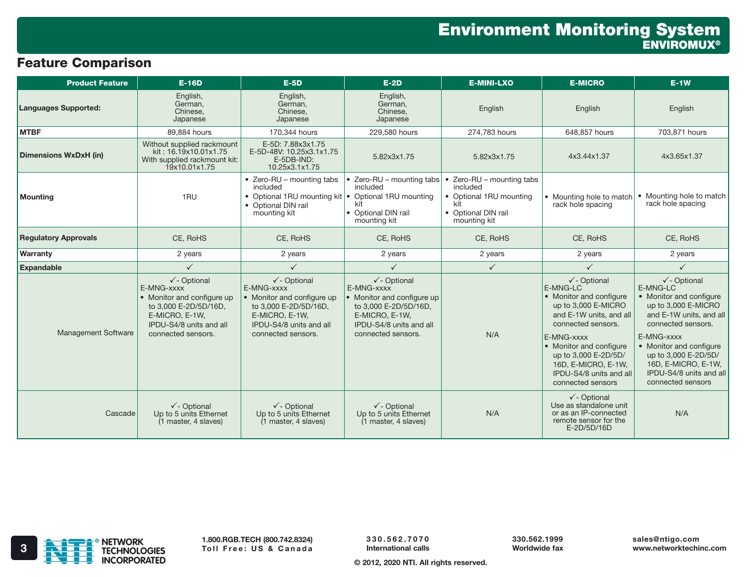## Feature Comparison

| <b>Product Feature</b>       | <b>E-16D</b>                                                                                                                                                    | $E-5D$                                                                                                                                                        | $E-2D$                                                                                                                                                          | <b>E-MINI-LXO</b>                                                                                            | <b>E-MICRO</b>                                                                                                                                                                                                                                                                 | $E-1W$                                                                                                                                                                                                                                                                                |
|------------------------------|-----------------------------------------------------------------------------------------------------------------------------------------------------------------|---------------------------------------------------------------------------------------------------------------------------------------------------------------|-----------------------------------------------------------------------------------------------------------------------------------------------------------------|--------------------------------------------------------------------------------------------------------------|--------------------------------------------------------------------------------------------------------------------------------------------------------------------------------------------------------------------------------------------------------------------------------|---------------------------------------------------------------------------------------------------------------------------------------------------------------------------------------------------------------------------------------------------------------------------------------|
| <b>Languages Supported:</b>  | English,<br>German,<br>Chinese,<br>Japanese                                                                                                                     | English,<br>German,<br>Chinese,<br>Japanese                                                                                                                   | English,<br>German,<br>Chinese,<br>Japanese                                                                                                                     | English                                                                                                      | English                                                                                                                                                                                                                                                                        | English                                                                                                                                                                                                                                                                               |
| <b>MTBF</b>                  | 89,884 hours                                                                                                                                                    | 170,344 hours                                                                                                                                                 | 229,580 hours                                                                                                                                                   | 274,783 hours                                                                                                | 648,857 hours                                                                                                                                                                                                                                                                  | 703,871 hours                                                                                                                                                                                                                                                                         |
| <b>Dimensions WxDxH (in)</b> | Without supplied rackmount<br>kit: 16.19x10.01x1.75<br>With supplied rackmount kit:<br>19x10.01x1.75                                                            | E-5D: 7.88x3x1.75<br>E-5D-48V: 10.25x3.1x1.75<br>E-5DB-IND:<br>10.25x3.1x1.75                                                                                 | 5.82x3x1.75                                                                                                                                                     | 5.82x3x1.75                                                                                                  | 4x3.44x1.37                                                                                                                                                                                                                                                                    | 4x3.65x1.37                                                                                                                                                                                                                                                                           |
| <b>Mounting</b>              | 1RU                                                                                                                                                             | • Zero-RU - mounting tabs<br>included<br>• Optional 1RU mounting kit   • Optional 1RU mounting<br>• Optional DIN rail<br>mounting kit                         | • Zero-RU – mounting tabs<br>included<br>kit<br>• Optional DIN rail<br>mounting kit                                                                             | Zero-RU - mounting tabs<br>included<br>• Optional 1RU mounting<br>kit<br>• Optional DIN rail<br>mounting kit | • Mounting hole to match<br>rack hole spacing                                                                                                                                                                                                                                  | • Mounting hole to match<br>rack hole spacing                                                                                                                                                                                                                                         |
| <b>Regulatory Approvals</b>  | CE, RoHS                                                                                                                                                        | CE. RoHS                                                                                                                                                      | CE, RoHS                                                                                                                                                        | CE, RoHS                                                                                                     | CE. RoHS                                                                                                                                                                                                                                                                       | CE, RoHS                                                                                                                                                                                                                                                                              |
| Warranty                     | 2 years                                                                                                                                                         | 2 years                                                                                                                                                       | 2 years                                                                                                                                                         | 2 years                                                                                                      | 2 years                                                                                                                                                                                                                                                                        | 2 years                                                                                                                                                                                                                                                                               |
| <b>Expandable</b>            | $\checkmark$                                                                                                                                                    | $\checkmark$                                                                                                                                                  | $\checkmark$                                                                                                                                                    | $\checkmark$                                                                                                 | $\checkmark$                                                                                                                                                                                                                                                                   | $\checkmark$                                                                                                                                                                                                                                                                          |
| <b>Management Software</b>   | $\checkmark$ - Optional<br>E-MNG-xxxx<br>• Monitor and configure up<br>to 3,000 E-2D/5D/16D,<br>E-MICRO, E-1W,<br>IPDU-S4/8 units and all<br>connected sensors. | $\checkmark$ - Optional<br>E-MNG-xxxx<br>Monitor and configure up<br>to 3,000 E-2D/5D/16D,<br>E-MICRO, E-1W,<br>IPDU-S4/8 units and all<br>connected sensors. | $\checkmark$ - Optional<br>E-MNG-xxxx<br>• Monitor and configure up<br>to 3,000 E-2D/5D/16D,<br>E-MICRO, E-1W,<br>IPDU-S4/8 units and all<br>connected sensors. | N/A                                                                                                          | $\checkmark$ - Optional<br>E-MNG-LC<br>• Monitor and configure<br>up to 3,000 E-MICRO<br>and E-1W units, and all<br>connected sensors.<br>E-MNG-xxxx<br>• Monitor and configure<br>up to 3,000 E-2D/5D/<br>16D, E-MICRO, E-1W,<br>IPDU-S4/8 units and all<br>connected sensors | $\checkmark$ - Optional<br>E-MNG-LC<br>• Monitor and configure<br>up to 3,000 E-MICRO<br>and E-1W units, and all<br>connected sensors.<br>E-MNG-xxxx<br>• Monitor and configure<br>up to 3,000 E-2D/5D/<br>16D, E-MICRO, E-1W,<br><b>IPDU-S4/8</b> units and all<br>connected sensors |
| Cascade                      | $\checkmark$ - Optional<br>Up to 5 units Ethernet<br>(1 master, 4 slaves)                                                                                       | $\checkmark$ - Optional<br>Up to 5 units Ethernet<br>(1 master, 4 slaves)                                                                                     | $\checkmark$ - Optional<br>Up to 5 units Ethernet<br>(1 master, 4 slaves)                                                                                       | N/A                                                                                                          | $\checkmark$ - Optional<br>Use as standalone unit<br>or as an IP-connected<br>remote sensor for the<br>E-2D/5D/16D                                                                                                                                                             | N/A                                                                                                                                                                                                                                                                                   |



330.562.7070 International calls